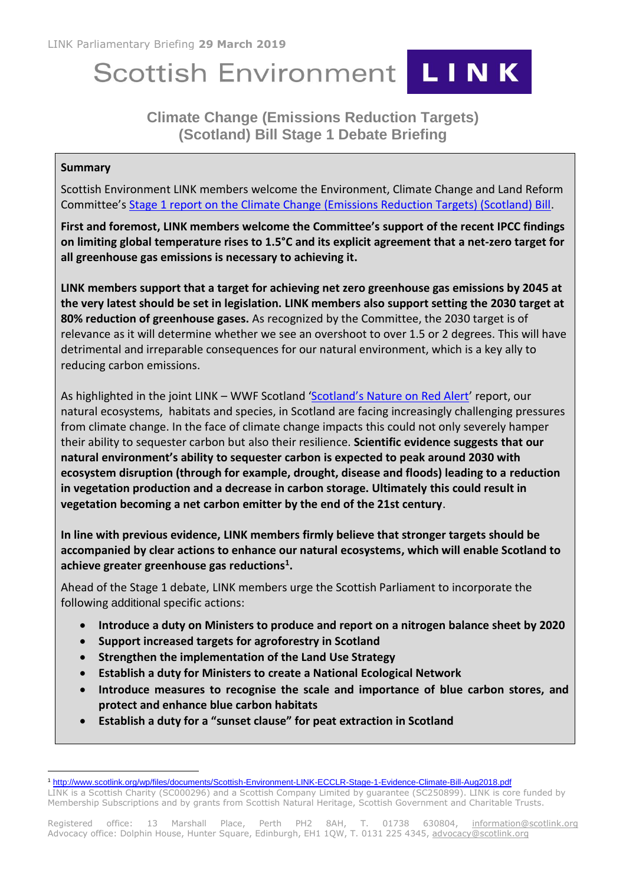# Scottish Environment LINK



# **Climate Change (Emissions Reduction Targets) (Scotland) Bill Stage 1 Debate Briefing**

# **Summary**

Scottish Environment LINK members welcome the Environment, Climate Change and Land Reform Committee's [Stage 1 report on the Climate Change \(Emissions Reduction Targets\) \(Scotland\) Bill.](https://sp-bpr-en-prod-cdnep.azureedge.net/published/ECCLR/2019/3/4/Stage-1-Report-on-the-Climate-Change--Emissions-Reduction-Targets---Scotland--Bill/ECCLRS052019R1.pdf)

**First and foremost, LINK members welcome the Committee's support of the recent IPCC findings on limiting global temperature rises to 1.5°C and its explicit agreement that a net-zero target for all greenhouse gas emissions is necessary to achieving it.**

**LINK members support that a target for achieving net zero greenhouse gas emissions by 2045 at the very latest should be set in legislation. LINK members also support setting the 2030 target at 80% reduction of greenhouse gases.** As recognized by the Committee, the 2030 target is of relevance as it will determine whether we see an overshoot to over 1.5 or 2 degrees. This will have detrimental and irreparable consequences for our natural environment, which is a key ally to reducing carbon emissions.

As highlighted in the joint LINK - WWF Scotland ['Scotland's Nature on Red Alert'](http://www.scotlink.org/wp/files/documents/Scotlands_Nature_Red_Alert.pdf) report, our natural ecosystems, habitats and species, in Scotland are facing increasingly challenging pressures from climate change. In the face of climate change impacts this could not only severely hamper their ability to sequester carbon but also their resilience. **Scientific evidence suggests that our natural environment's ability to sequester carbon is expected to peak around 2030 with ecosystem disruption (through for example, drought, disease and floods) leading to a reduction in vegetation production and a decrease in carbon storage. Ultimately this could result in vegetation becoming a net carbon emitter by the end of the 21st century**.

**In line with previous evidence, LINK members firmly believe that stronger targets should be accompanied by clear actions to enhance our natural ecosystems, which will enable Scotland to achieve greater greenhouse gas reductions<sup>1</sup> .** 

Ahead of the Stage 1 debate, LINK members urge the Scottish Parliament to incorporate the following additional specific actions:

- **Introduce a duty on Ministers to produce and report on a nitrogen balance sheet by 2020**
- **Support increased targets for agroforestry in Scotland**
- **Strengthen the implementation of the Land Use Strategy**
- **Establish a duty for Ministers to create a National Ecological Network**
- **Introduce measures to recognise the scale and importance of blue carbon stores, and protect and enhance blue carbon habitats**
- **Establish a duty for a "sunset clause" for peat extraction in Scotland**

<sup>-</sup><sup>1</sup> <http://www.scotlink.org/wp/files/documents/Scottish-Environment-LINK-ECCLR-Stage-1-Evidence-Climate-Bill-Aug2018.pdf>

LINK is a Scottish Charity (SC000296) and a Scottish Company Limited by guarantee (SC250899). LINK is core funded by Membership Subscriptions and by grants from Scottish Natural Heritage, Scottish Government and Charitable Trusts.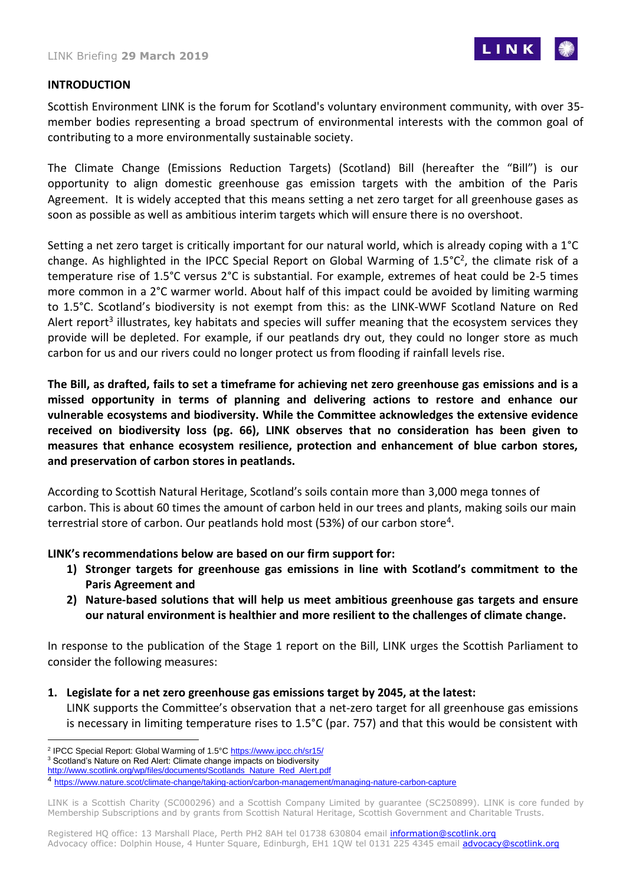

#### **INTRODUCTION**

Scottish Environment LINK is the forum for Scotland's voluntary environment community, with over 35 member bodies representing a broad spectrum of environmental interests with the common goal of contributing to a more environmentally sustainable society.

The Climate Change (Emissions Reduction Targets) (Scotland) Bill (hereafter the "Bill") is our opportunity to align domestic greenhouse gas emission targets with the ambition of the Paris Agreement. It is widely accepted that this means setting a net zero target for all greenhouse gases as soon as possible as well as ambitious interim targets which will ensure there is no overshoot.

Setting a net zero target is critically important for our natural world, which is already coping with a 1°C change. As highlighted in the IPCC Special Report on Global Warming of 1.5°C<sup>2</sup>, the climate risk of a temperature rise of 1.5°C versus 2°C is substantial. For example, extremes of heat could be 2-5 times more common in a 2°C warmer world. About half of this impact could be avoided by limiting warming to 1.5°C. Scotland's biodiversity is not exempt from this: as the LINK-WWF Scotland Nature on Red Alert report<sup>3</sup> illustrates, key habitats and species will suffer meaning that the ecosystem services they provide will be depleted. For example, if our peatlands dry out, they could no longer store as much carbon for us and our rivers could no longer protect us from flooding if rainfall levels rise.

**The Bill, as drafted, fails to set a timeframe for achieving net zero greenhouse gas emissions and is a missed opportunity in terms of planning and delivering actions to restore and enhance our vulnerable ecosystems and biodiversity. While the Committee acknowledges the extensive evidence received on biodiversity loss (pg. 66), LINK observes that no consideration has been given to measures that enhance ecosystem resilience, protection and enhancement of blue carbon stores, and preservation of carbon stores in peatlands.**

According to Scottish Natural Heritage, Scotland's soils contain more than 3,000 mega tonnes of carbon. This is about 60 times the amount of carbon held in our trees and plants, making soils our main terrestrial store of carbon. Our peatlands hold most (53%) of our carbon store<sup>4</sup>.

**LINK's recommendations below are based on our firm support for:**

- **1) Stronger targets for greenhouse gas emissions in line with Scotland's commitment to the Paris Agreement and**
- **2) Nature-based solutions that will help us meet ambitious greenhouse gas targets and ensure our natural environment is healthier and more resilient to the challenges of climate change.**

In response to the publication of the Stage 1 report on the Bill, LINK urges the Scottish Parliament to consider the following measures:

**1. Legislate for a net zero greenhouse gas emissions target by 2045, at the latest:** LINK supports the Committee's observation that a net-zero target for all greenhouse gas emissions is necessary in limiting temperature rises to 1.5°C (par. 757) and that this would be consistent with

LINK is a Scottish Charity (SC000296) and a Scottish Company Limited by guarantee (SC250899). LINK is core funded by Membership Subscriptions and by grants from Scottish Natural Heritage, Scottish Government and Charitable Trusts.

<sup>-</sup><sup>2</sup> IPCC Special Report: Global Warming of 1.5°[C https://www.ipcc.ch/sr15/](https://www.ipcc.ch/sr15/)

<sup>&</sup>lt;sup>3</sup> Scotland's Nature on Red Alert: Climate change impacts on biodiversity

[http://www.scotlink.org/wp/files/documents/Scotlands\\_Nature\\_Red\\_Alert.pdf](http://www.scotlink.org/wp/files/documents/Scotlands_Nature_Red_Alert.pdf)

<sup>4</sup> <https://www.nature.scot/climate-change/taking-action/carbon-management/managing-nature-carbon-capture>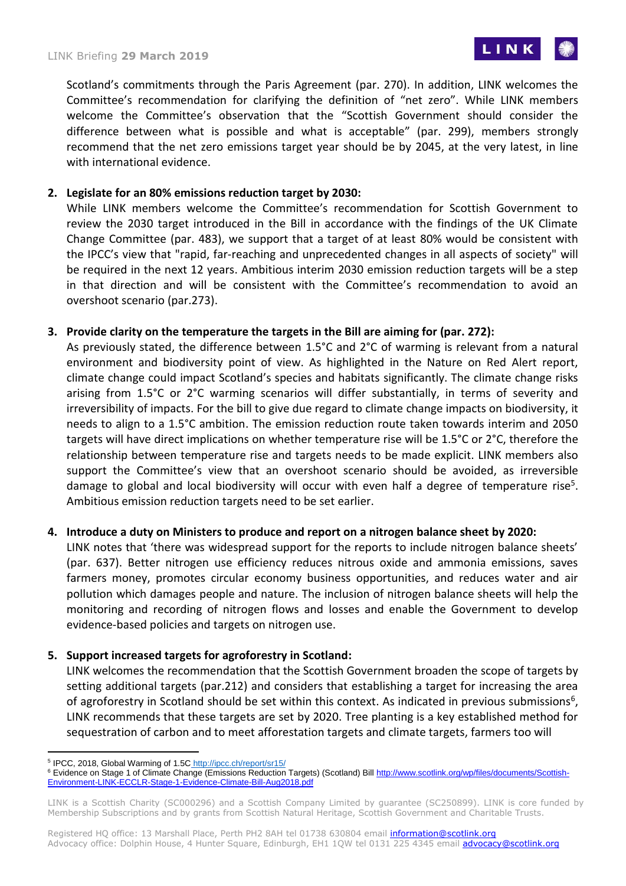

Scotland's commitments through the Paris Agreement (par. 270). In addition, LINK welcomes the Committee's recommendation for clarifying the definition of "net zero". While LINK members welcome the Committee's observation that the "Scottish Government should consider the difference between what is possible and what is acceptable" (par. 299), members strongly recommend that the net zero emissions target year should be by 2045, at the very latest, in line with international evidence.

# **2. Legislate for an 80% emissions reduction target by 2030:**

While LINK members welcome the Committee's recommendation for Scottish Government to review the 2030 target introduced in the Bill in accordance with the findings of the UK Climate Change Committee (par. 483), we support that a target of at least 80% would be consistent with the IPCC's view that "rapid, far-reaching and unprecedented changes in all aspects of society" will be required in the next 12 years. Ambitious interim 2030 emission reduction targets will be a step in that direction and will be consistent with the Committee's recommendation to avoid an overshoot scenario (par.273).

#### **3. Provide clarity on the temperature the targets in the Bill are aiming for (par. 272):**

As previously stated, the difference between 1.5°C and 2°C of warming is relevant from a natural environment and biodiversity point of view. As highlighted in the Nature on Red Alert report, climate change could impact Scotland's species and habitats significantly. The climate change risks arising from 1.5°C or 2°C warming scenarios will differ substantially, in terms of severity and irreversibility of impacts. For the bill to give due regard to climate change impacts on biodiversity, it needs to align to a 1.5°C ambition. The emission reduction route taken towards interim and 2050 targets will have direct implications on whether temperature rise will be 1.5°C or 2°C, therefore the relationship between temperature rise and targets needs to be made explicit. LINK members also support the Committee's view that an overshoot scenario should be avoided, as irreversible damage to global and local biodiversity will occur with even half a degree of temperature rise<sup>5</sup>. Ambitious emission reduction targets need to be set earlier.

#### **4. Introduce a duty on Ministers to produce and report on a nitrogen balance sheet by 2020:**

LINK notes that 'there was widespread support for the reports to include nitrogen balance sheets' (par. 637). Better nitrogen use efficiency reduces nitrous oxide and ammonia emissions, saves farmers money, promotes circular economy business opportunities, and reduces water and air pollution which damages people and nature. The inclusion of nitrogen balance sheets will help the monitoring and recording of nitrogen flows and losses and enable the Government to develop evidence-based policies and targets on nitrogen use.

#### **5. Support increased targets for agroforestry in Scotland:**

<span id="page-2-0"></span>LINK welcomes the recommendation that the Scottish Government broaden the scope of targets by setting additional targets (par.212) and considers that establishing a target for increasing the area of agroforestry in Scotland should be set within this context. As indicated in previous submissions<sup>6</sup>, LINK recommends that these targets are set by 2020. Tree planting is a key established method for sequestration of carbon and to meet afforestation targets and climate targets, farmers too will

Registered HQ office: 13 Marshall Place, Perth PH2 8AH tel 01738 630804 email *information@scotlink.org* Advocacy office: Dolphin House, 4 Hunter Square, Edinburgh, EH1 1QW tel 0131 225 4345 email **advocacy@scotlink.org** 

<sup>-</sup><sup>5</sup> IP[C](http://ipcc.ch/report/sr15/)C, 2018, Global Warming of 1.5C <http://ipcc.ch/report/sr15/>

<sup>6</sup> Evidence on Stage 1 of Climate Change (Emissions Reduction Targets) (Scotland) Bill [http://www.scotlink.org/wp/files/documents/Scottish-](http://www.scotlink.org/wp/files/documents/Scottish-Environment-LINK-ECCLR-Stage-1-Evidence-Climate-Bill-Aug2018.pdf)[Environment-LINK-ECCLR-Stage-1-Evidence-Climate-Bill-Aug2018.pdf](http://www.scotlink.org/wp/files/documents/Scottish-Environment-LINK-ECCLR-Stage-1-Evidence-Climate-Bill-Aug2018.pdf)

LINK is a Scottish Charity (SC000296) and a Scottish Company Limited by guarantee (SC250899). LINK is core funded by Membership Subscriptions and by grants from Scottish Natural Heritage, Scottish Government and Charitable Trusts.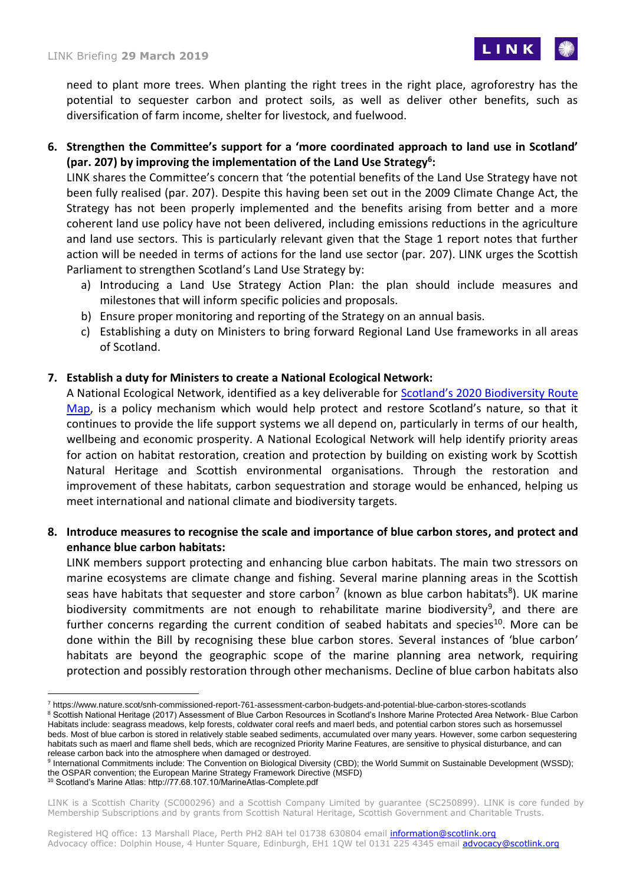

need to plant more trees. When planting the right trees in the right place, agroforestry has the potential to sequester carbon and protect soils, as well as deliver other benefits, such as diversification of farm income, shelter for livestock, and fuelwood.

**6. Strengthen the Committee's support for a 'more coordinated approach to land use in Scotland' (par. 207) by improving the implementation of the Land Use Strategy[6](#page-2-0) :**

LINK shares the Committee's concern that 'the potential benefits of the Land Use Strategy have not been fully realised (par. 207). Despite this having been set out in the 2009 Climate Change Act, the Strategy has not been properly implemented and the benefits arising from better and a more coherent land use policy have not been delivered, including emissions reductions in the agriculture and land use sectors. This is particularly relevant given that the Stage 1 report notes that further action will be needed in terms of actions for the land use sector (par. 207). LINK urges the Scottish Parliament to strengthen Scotland's Land Use Strategy by:

- a) Introducing a Land Use Strategy Action Plan: the plan should include measures and milestones that will inform specific policies and proposals.
- b) Ensure proper monitoring and reporting of the Strategy on an annual basis.
- c) Establishing a duty on Ministers to bring forward Regional Land Use frameworks in all areas of Scotland.

# **7. Establish a duty for Ministers to create a National Ecological Network:**

A National Ecological Network, identified as a key deliverable for **Scotland's 2020 Biodiversity Route** [Map,](https://www2.gov.scot/Resource/0048/00480289.pdf) is a policy mechanism which would help protect and restore Scotland's nature, so that it continues to provide the life support systems we all depend on, particularly in terms of our health, wellbeing and economic prosperity. A National Ecological Network will help identify priority areas for action on habitat restoration, creation and protection by building on existing work by Scottish Natural Heritage and Scottish environmental organisations. Through the restoration and improvement of these habitats, carbon sequestration and storage would be enhanced, helping us meet international and national climate and biodiversity targets.

**8. Introduce measures to recognise the scale and importance of blue carbon stores, and protect and enhance blue carbon habitats:**

LINK members support protecting and enhancing blue carbon habitats. The main two stressors on marine ecosystems are climate change and fishing. Several marine planning areas in the Scottish seas have habitats that sequester and store carbon<sup>7</sup> (known as blue carbon habitats<sup>8</sup>). UK marine biodiversity commitments are not enough to rehabilitate marine biodiversity<sup>9</sup>, and there are further concerns regarding the current condition of seabed habitats and species<sup>10</sup>. More can be done within the Bill by recognising these blue carbon stores. Several instances of 'blue carbon' habitats are beyond the geographic scope of the marine planning area network, requiring protection and possibly restoration through other mechanisms. Decline of blue carbon habitats also

<sup>8</sup> Scottish National Heritage (2017) Assessment of Blue Carbon Resources in Scotland's Inshore Marine Protected Area Network- Blue Carbon Habitats include: seagrass meadows, kelp forests, coldwater coral reefs and maerl beds, and potential carbon stores such as horsemussel beds. Most of blue carbon is stored in relatively stable seabed sediments, accumulated over many years. However, some carbon sequestering habitats such as maerl and flame shell beds, which are recognized Priority Marine Features, are sensitive to physical disturbance, and can release carbon back into the atmosphere when damaged or destroyed.

<sup>10</sup> Scotland's Marine Atlas: http://77.68.107.10/MarineAtlas-Complete.pdf

-

<sup>7</sup> https://www.nature.scot/snh-commissioned-report-761-assessment-carbon-budgets-and-potential-blue-carbon-stores-scotlands

<sup>&</sup>lt;sup>9</sup> International Commitments include: The Convention on Biological Diversity (CBD); the World Summit on Sustainable Development (WSSD); the OSPAR convention; the European Marine Strategy Framework Directive (MSFD)

LINK is a Scottish Charity (SC000296) and a Scottish Company Limited by guarantee (SC250899). LINK is core funded by Membership Subscriptions and by grants from Scottish Natural Heritage, Scottish Government and Charitable Trusts.